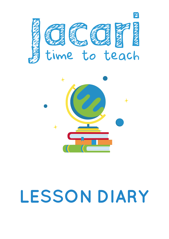



# **LESSON DIARY**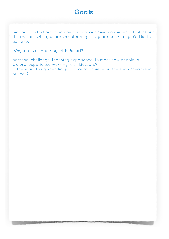## **Goals**

Before you start teaching you could take a few moments to think about the reasons why you are volunteering this year and what you'd like to achieve.

Why am I volunteering with Jacari?

personal challenge, teaching experience, to meet new people in Oxford, experience working with kids, etc? Is there anything specific you'd like to achieve by the end of term/end of year?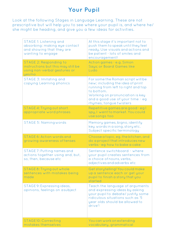## **Your Pupil**

Look at the following Stages in Language Learning. These are not prescriptive but will help you to see where your pupil is, and where he/ she might be heading, and give you a few ideas for activities.

| STAGE 1: Listening and<br>absorbing: making eye contact<br>and showing that they are<br>wanting to engage | At this stage it's important not to<br>push them to speak until they feel<br>ready. Use visuals and actions and<br>be patient - lots of smiles and<br>encouragement!                                                        |
|-----------------------------------------------------------------------------------------------------------|-----------------------------------------------------------------------------------------------------------------------------------------------------------------------------------------------------------------------------|
| STAGE 2: Responding to<br>instructions but this may still be<br>using non-verbal gestures or<br>yes/no    | Action games - e.g. Simon<br>Says; or Board Games like<br>Ludo                                                                                                                                                              |
| STAGE 3: Imitating and<br>copying Learning phonics                                                        | For some the Roman script will be<br>new; including the idea of print<br>running from left to right and top<br>to bottom.<br>Working on pronunciation is key<br>and a good use of your time - eg<br>rhymes, tongue twisters |
| STAGE 4: Trying out short<br>appropriate word phrases                                                     | Repetitive games are good - eg l<br>spy, I went to market. You could<br>use songs too                                                                                                                                       |
| <b>STAGE 5: Naming words</b>                                                                              | Memory games, bigno, identify<br>key words in a song, story etc.<br>Subject specific terminology                                                                                                                            |
| STAGE 6: Action words and<br>growing awareness of tenses                                                  | Choose a topic, eg. the kitchen, and<br>do a project that introduces new<br>verbs - eg how to bake a cake                                                                                                                   |
| STAGE 7: Putting names and<br>actions together using and, but,<br>so, then, because etc                   | Sentence switchboard - where<br>your pupil creates sentences from<br>a choice of nouns, verbs,<br>adjectives and adverbs etc                                                                                                |
| STAGE 8: Trying out whole<br>sentences with mistakes being<br>made                                        | Get storytelling! You could make<br>up a sentence each or get your<br>pupil to finish a story that you<br>started                                                                                                           |
| STAGE 9: Expressing ideas,<br>opinions, feelings on asubject                                              | Teach the language of arguments<br>and expressing ideas by asking<br>your pupil to debate/ justify some<br>ridiculous situations such as '5<br>year olds should be allowed to<br>drive'!                                    |
| STAGE10: Correcting<br>mistakes themselves                                                                | You can work on extending<br>vocabulary, grammatical                                                                                                                                                                        |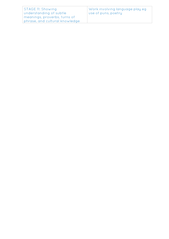| <b>STAGE 11: Showing</b>       | Work involving language play eg |
|--------------------------------|---------------------------------|
| understanding of subtle        | Use of puns, poetry             |
| meanings, proverbs, turns of   |                                 |
| phrase, and cultural knowledge |                                 |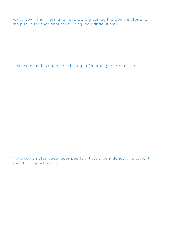Write down the information you were given by the Coordinator and the pupil's teacher about their language difficulties:

Make some notes about which stage of learning your pupil is at:

Make some notes about your pupil's attitude, confidence, any subject specific support needed: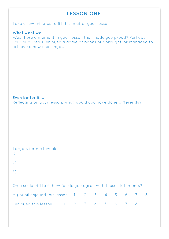|                                                                                                                                                                                      | <b>LESSON ONE</b> |  |  |   |  |
|--------------------------------------------------------------------------------------------------------------------------------------------------------------------------------------|-------------------|--|--|---|--|
| Take a few minutes to fill this in after your lesson!                                                                                                                                |                   |  |  |   |  |
| What went well:<br>Was there a moment in your lesson that made you proud? Perhaps<br>your pupil really enjoyed a game or book your brought, or managed to<br>achieve a new challenge |                   |  |  |   |  |
|                                                                                                                                                                                      |                   |  |  |   |  |
|                                                                                                                                                                                      |                   |  |  |   |  |
| Even better if<br>Reflecting on your lesson, what would you have done differently?                                                                                                   |                   |  |  |   |  |
|                                                                                                                                                                                      |                   |  |  |   |  |
|                                                                                                                                                                                      |                   |  |  |   |  |
|                                                                                                                                                                                      |                   |  |  |   |  |
| Targets for next week:<br>$\vert$                                                                                                                                                    |                   |  |  |   |  |
| $\mathbf{2}$                                                                                                                                                                         |                   |  |  |   |  |
| $\overline{3}$ )                                                                                                                                                                     |                   |  |  |   |  |
| On a scale of 1 to 8, how far do you agree with these statements?                                                                                                                    |                   |  |  |   |  |
| My pupil enjoyed this lesson 1 2 3 4 5 6 7                                                                                                                                           |                   |  |  | 8 |  |
| enjoyed this lesson 1 2 3 4 5 6 7 8                                                                                                                                                  |                   |  |  |   |  |

ı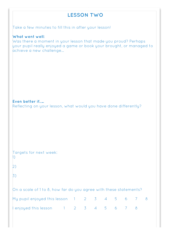## **LESSON TWO**

Take a few minutes to fill this in after your lesson!

#### **What went well:**

Was there a moment in your lesson that made you proud? Perhaps your pupil really enjoyed a game or book your brought, or managed to achieve a new challenge…

**Even better if…..** Reflecting on your lesson, what would you have done differently?

| Targets for next week: |  |  |
|------------------------|--|--|
| 1)                     |  |  |

| ۰. | ×       |
|----|---------|
| z  |         |
|    | I<br>۰, |

3)

| My pupil enjoyed this lesson 1 2 3 4 5 6 7 8 |  |  |  |  |  |
|----------------------------------------------|--|--|--|--|--|
| enjoyed this lesson 1 2 3 4 5 6 7 8          |  |  |  |  |  |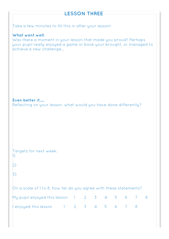## **LESSON THREE**

Take a few minutes to fill this in after your lesson!

#### **What went well:**

Was there a moment in your lesson that made you proud? Perhaps your pupil really enjoyed a game or book your brought, or managed to achieve a new challenge…

**Even better if…..** Reflecting on your lesson, what would you have done differently?

| Targets for next week: |  |  |
|------------------------|--|--|
| $\overline{1}$         |  |  |

| ۰. |  |  |
|----|--|--|
|    |  |  |
|    |  |  |
|    |  |  |

2)

3)

| My pupil enjoyed this lesson 1 2 3 4 5 6 7 8 |  |  |  |  |  |
|----------------------------------------------|--|--|--|--|--|
| lenjoyed this lesson 1 2 3 4 5 6 7 8         |  |  |  |  |  |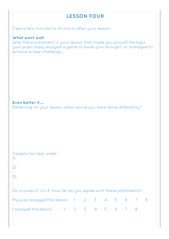## **LESSON FOUR**

Take a few minutes to fill this in after your lesson!

#### **What went well:**

Was there a moment in your lesson that made you proud? Perhaps your pupil really enjoyed a game or book your brought, or managed to achieve a new challenge…

**Even better if…..** Reflecting on your lesson, what would you have done differently?

| Targets for next week: |  |  |
|------------------------|--|--|
| $\ket{1}$              |  |  |

| ۰, |
|----|

3)

| My pupil enjoyed this lesson 1 2 3 4 5 6 7 8 |  |  |  |  |  |
|----------------------------------------------|--|--|--|--|--|
| enjoyed this lesson 1 2 3 4 5 6 7 8          |  |  |  |  |  |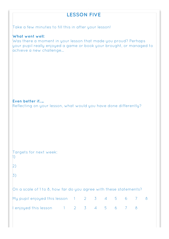## **LESSON FIVE**

Take a few minutes to fill this in after your lesson!

#### **What went well:**

Was there a moment in your lesson that made you proud? Perhaps your pupil really enjoyed a game or book your brought, or managed to achieve a new challenge…

**Even better if…..** Reflecting on your lesson, what would you have done differently?

| Targets for next week: |  |  |
|------------------------|--|--|
| 1)                     |  |  |

| ۰.     | M.      |  |
|--------|---------|--|
| ł<br>i |         |  |
|        | I<br>۰, |  |

3)

| My pupil enjoyed this lesson 1 2 3 4 5 6 7 8 |  |  |  |  |  |
|----------------------------------------------|--|--|--|--|--|
| $\lvert$ enjoyed this lesson 1 2 3 4 5 6 7 8 |  |  |  |  |  |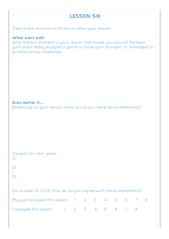## **LESSON SIX** Take a few minutes to fill this in after your lesson! **What went well:** Was there a moment in your lesson that made you proud? Perhaps your pupil really enjoyed a game or book your brought, or managed to achieve a new challenge… **Even better if…..** Reflecting on your lesson, what would you have done differently? Targets for next week:

2)

1)

3)

| My pupil enjoyed this lesson 1 2 3 4 5 6 7 8 |  |  |  |  |  |
|----------------------------------------------|--|--|--|--|--|
| enjoyed this lesson 1 2 3 4 5 6 7 8          |  |  |  |  |  |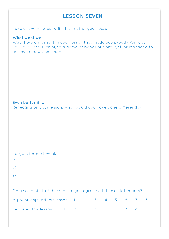## **LESSON SEVEN**

Take a few minutes to fill this in after your lesson!

#### **What went well:**

Was there a moment in your lesson that made you proud? Perhaps your pupil really enjoyed a game or book your brought, or managed to achieve a new challenge…

**Even better if…..**

Reflecting on your lesson, what would you have done differently?

| Targets for next week: |  |  |
|------------------------|--|--|
|                        |  |  |

2)

3)

| My pupil enjoyed this lesson 1 2 3 4 5 6 7 8 |  |  |  |  |  |
|----------------------------------------------|--|--|--|--|--|
| lenjoyed this lesson 1 2 3 4 5 6 7 8         |  |  |  |  |  |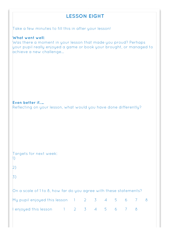## **LESSON EIGHT**

Take a few minutes to fill this in after your lesson!

#### **What went well:**

Was there a moment in your lesson that made you proud? Perhaps your pupil really enjoyed a game or book your brought, or managed to achieve a new challenge…

**Even better if…..**

Reflecting on your lesson, what would you have done differently?

| Targets for next week: |  |  |
|------------------------|--|--|
|                        |  |  |

2)

3)

| My pupil enjoyed this lesson 1 2 3 4 5 6 7 8 |  |  |  |  |  |
|----------------------------------------------|--|--|--|--|--|
| $\ell$ enjoyed this lesson 1 2 3 4 5 6 7 8   |  |  |  |  |  |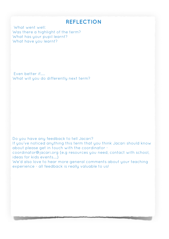## **REFLECTION**

What went well: Was there a highlight of the term? What has your pupil learnt? What have you learnt?

Even better if….. What will you do differently next term?

Do you have any feedback to tell Jacari?

If you've noticed anything this term that you think Jacari should know about please get in touch with the coordinator -

coordinator@jacari.org (e.g resources you need, contact with school, ideas for kids events….)

We'd also love to hear more general comments about your teaching experience - all feedback is really valuable to us!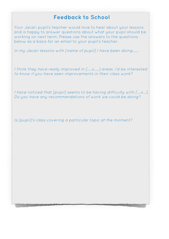## **Feedback to School**

Your Jacari pupil's teacher would love to hear about your lessons and is happy to answer questions about what your pupil should be working on next term. Please use the answers to the questions below as a basis for an email to your pupil's teacher.

In my Jacari lessons with [name of pupil] I have been doing.......

I think they have really improved in [..... x.....] areas. I'd be interested to know if you have seen improvements in their class work?

I have noticed that [pupil] seems to be having difficulty with [….x…]. Do you have any recommendations of work we could be doing?

Is [pupil]'s class covering a particular topic at the moment?